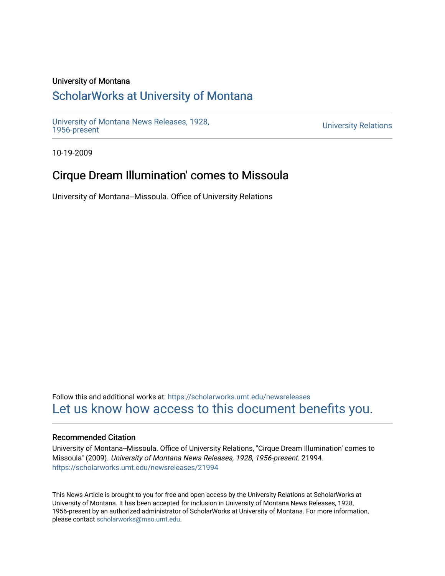## University of Montana

# [ScholarWorks at University of Montana](https://scholarworks.umt.edu/)

[University of Montana News Releases, 1928,](https://scholarworks.umt.edu/newsreleases) 

**University Relations** 

10-19-2009

# Cirque Dream Illumination' comes to Missoula

University of Montana--Missoula. Office of University Relations

Follow this and additional works at: [https://scholarworks.umt.edu/newsreleases](https://scholarworks.umt.edu/newsreleases?utm_source=scholarworks.umt.edu%2Fnewsreleases%2F21994&utm_medium=PDF&utm_campaign=PDFCoverPages) [Let us know how access to this document benefits you.](https://goo.gl/forms/s2rGfXOLzz71qgsB2) 

## Recommended Citation

University of Montana--Missoula. Office of University Relations, "Cirque Dream Illumination' comes to Missoula" (2009). University of Montana News Releases, 1928, 1956-present. 21994. [https://scholarworks.umt.edu/newsreleases/21994](https://scholarworks.umt.edu/newsreleases/21994?utm_source=scholarworks.umt.edu%2Fnewsreleases%2F21994&utm_medium=PDF&utm_campaign=PDFCoverPages) 

This News Article is brought to you for free and open access by the University Relations at ScholarWorks at University of Montana. It has been accepted for inclusion in University of Montana News Releases, 1928, 1956-present by an authorized administrator of ScholarWorks at University of Montana. For more information, please contact [scholarworks@mso.umt.edu.](mailto:scholarworks@mso.umt.edu)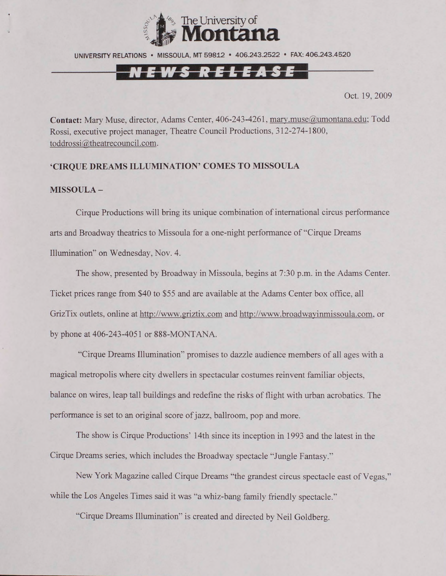

UNIVERSITY RELATIONS • MISSOULA, MT 59812 • 406.243.2522 • FAX: 406.243.4520

# NEWS RELEASE

Oct. 19,2009

**Contact:** Mary Muse, director, Adams Center, 406-243-4261, [marv.muse@umontana.edu](mailto:marv.muse@umontana.edu): Todd Rossi, executive project manager, Theatre Council Productions, 312-274-1800, toddrossi@theatrecouncil.com.

#### **'CIRQUE DREAMS ILLUMINATION' COMES TO MISSOULA**

### **MISSOULA -**

Cirque Productions will bring its unique combination of international circus performance arts and Broadway theatrics to Missoula for a one-night performance of "Cirque Dreams Illumination" on Wednesday, Nov. 4.

The show, presented by Broadway in Missoula, begins at 7:30 p.m. in the Adams Center. Ticket prices range from \$40 to \$55 and are available at the Adams Center box office, all GrizTix outlets, online at <http://www.griztix.com>and [http://www .broadwavinmissoula.com.](http://www_.broadwavinmissoula.com) or by phone at 406-243-4051 or 888-MONTANA.

"Cirque Dreams Illumination" promises to dazzle audience members of all ages with a magical metropolis where city dwellers in spectacular costumes reinvent familiar objects, balance on wires, leap tall buildings and redefine the risks of flight with urban acrobatics. The performance is set to an original score of jazz, ballroom, pop and more.

The show is Cirque Productions' 14th since its inception in 1993 and the latest in the Cirque Dreams series, which includes the Broadway spectacle "Jungle Fantasy."

New York Magazine called Cirque Dreams "the grandest circus spectacle east of Vegas," while the Los Angeles Times said it was "a whiz-bang family friendly spectacle."

"Cirque Dreams Illumination" is created and directed by Neil Goldberg.